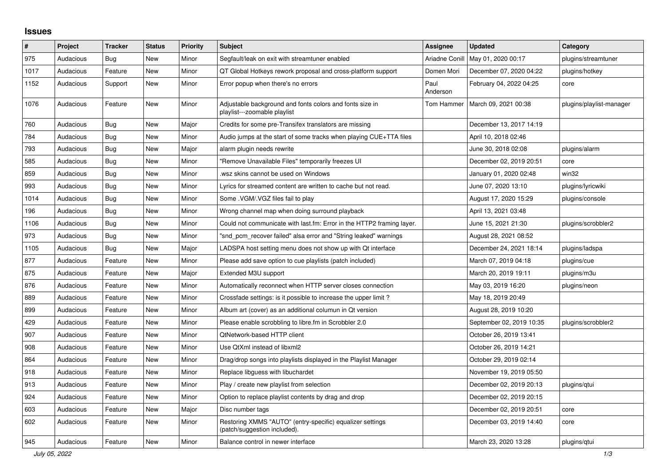## **Issues**

| $\#$ | Project   | <b>Tracker</b> | <b>Status</b> | <b>Priority</b> | <b>Subject</b>                                                                            | <b>Assignee</b>  | <b>Updated</b>           | Category                 |
|------|-----------|----------------|---------------|-----------------|-------------------------------------------------------------------------------------------|------------------|--------------------------|--------------------------|
| 975  | Audacious | <b>Bug</b>     | New           | Minor           | Segfault/leak on exit with streamtuner enabled                                            | Ariadne Conill   | May 01, 2020 00:17       | plugins/streamtuner      |
| 1017 | Audacious | Feature        | New           | Minor           | QT Global Hotkeys rework proposal and cross-platform support                              | Domen Mori       | December 07, 2020 04:22  | plugins/hotkey           |
| 1152 | Audacious | Support        | <b>New</b>    | Minor           | Error popup when there's no errors                                                        | Paul<br>Anderson | February 04, 2022 04:25  | core                     |
| 1076 | Audacious | Feature        | New           | Minor           | Adjustable background and fonts colors and fonts size in<br>playlist---zoomable playlist  | Tom Hammer       | March 09, 2021 00:38     | plugins/playlist-manager |
| 760  | Audacious | <b>Bug</b>     | New           | Major           | Credits for some pre-Transifex translators are missing                                    |                  | December 13, 2017 14:19  |                          |
| 784  | Audacious | Bug            | New           | Minor           | Audio jumps at the start of some tracks when playing CUE+TTA files                        |                  | April 10, 2018 02:46     |                          |
| 793  | Audacious | Bug            | <b>New</b>    | Major           | alarm plugin needs rewrite                                                                |                  | June 30, 2018 02:08      | plugins/alarm            |
| 585  | Audacious | Bug            | New           | Minor           | "Remove Unavailable Files" temporarily freezes UI                                         |                  | December 02, 2019 20:51  | core                     |
| 859  | Audacious | Bug            | <b>New</b>    | Minor           | wsz skins cannot be used on Windows.                                                      |                  | January 01, 2020 02:48   | win32                    |
| 993  | Audacious | Bug            | New           | Minor           | Lyrics for streamed content are written to cache but not read.                            |                  | June 07, 2020 13:10      | plugins/lyricwiki        |
| 1014 | Audacious | <b>Bug</b>     | <b>New</b>    | Minor           | Some . VGM/. VGZ files fail to play                                                       |                  | August 17, 2020 15:29    | plugins/console          |
| 196  | Audacious | <b>Bug</b>     | New           | Minor           | Wrong channel map when doing surround playback                                            |                  | April 13, 2021 03:48     |                          |
| 1106 | Audacious | Bug            | New           | Minor           | Could not communicate with last.fm: Error in the HTTP2 framing layer.                     |                  | June 15, 2021 21:30      | plugins/scrobbler2       |
| 973  | Audacious | Bug            | <b>New</b>    | Minor           | "snd pcm recover failed" alsa error and "String leaked" warnings                          |                  | August 28, 2021 08:52    |                          |
| 1105 | Audacious | <b>Bug</b>     | New           | Major           | LADSPA host setting menu does not show up with Qt interface                               |                  | December 24, 2021 18:14  | plugins/ladspa           |
| 877  | Audacious | Feature        | New           | Minor           | Please add save option to cue playlists (patch included)                                  |                  | March 07, 2019 04:18     | plugins/cue              |
| 875  | Audacious | Feature        | New           | Major           | Extended M3U support                                                                      |                  | March 20, 2019 19:11     | plugins/m3u              |
| 876  | Audacious | Feature        | <b>New</b>    | Minor           | Automatically reconnect when HTTP server closes connection                                |                  | May 03, 2019 16:20       | plugins/neon             |
| 889  | Audacious | Feature        | New           | Minor           | Crossfade settings: is it possible to increase the upper limit?                           |                  | May 18, 2019 20:49       |                          |
| 899  | Audacious | Feature        | New           | Minor           | Album art (cover) as an additional columun in Qt version                                  |                  | August 28, 2019 10:20    |                          |
| 429  | Audacious | Feature        | <b>New</b>    | Minor           | Please enable scrobbling to libre.fm in Scrobbler 2.0                                     |                  | September 02, 2019 10:35 | plugins/scrobbler2       |
| 907  | Audacious | Feature        | New           | Minor           | QtNetwork-based HTTP client                                                               |                  | October 26, 2019 13:41   |                          |
| 908  | Audacious | Feature        | New           | Minor           | Use QtXml instead of libxml2                                                              |                  | October 26, 2019 14:21   |                          |
| 864  | Audacious | Feature        | <b>New</b>    | Minor           | Drag/drop songs into playlists displayed in the Playlist Manager                          |                  | October 29, 2019 02:14   |                          |
| 918  | Audacious | Feature        | <b>New</b>    | Minor           | Replace libguess with libuchardet                                                         |                  | November 19, 2019 05:50  |                          |
| 913  | Audacious | Feature        | <b>New</b>    | Minor           | Play / create new playlist from selection                                                 |                  | December 02, 2019 20:13  | plugins/qtui             |
| 924  | Audacious | Feature        | New           | Minor           | Option to replace playlist contents by drag and drop                                      |                  | December 02, 2019 20:15  |                          |
| 603  | Audacious | Feature        | <b>New</b>    | Major           | Disc number tags                                                                          |                  | December 02, 2019 20:51  | core                     |
| 602  | Audacious | Feature        | New           | Minor           | Restoring XMMS "AUTO" (entry-specific) equalizer settings<br>(patch/suggestion included). |                  | December 03, 2019 14:40  | core                     |
| 945  | Audacious | Feature        | New           | Minor           | Balance control in newer interface                                                        |                  | March 23, 2020 13:28     | plugins/qtui             |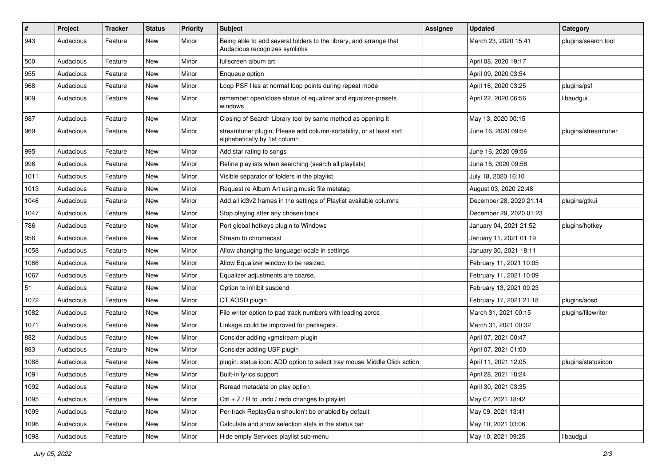| #    | Project   | <b>Tracker</b> | <b>Status</b> | <b>Priority</b> | <b>Subject</b>                                                                                      | <b>Assignee</b> | <b>Updated</b>          | Category            |
|------|-----------|----------------|---------------|-----------------|-----------------------------------------------------------------------------------------------------|-----------------|-------------------------|---------------------|
| 943  | Audacious | Feature        | New           | Minor           | Being able to add several folders to the library, and arrange that<br>Audacious recognizes symlinks |                 | March 23, 2020 15:41    | plugins/search tool |
| 500  | Audacious | Feature        | New           | Minor           | fullscreen album art                                                                                |                 | April 08, 2020 19:17    |                     |
| 955  | Audacious | Feature        | New           | Minor           | Enqueue option                                                                                      |                 | April 09, 2020 03:54    |                     |
| 968  | Audacious | Feature        | New           | Minor           | Loop PSF files at normal loop points during repeat mode                                             |                 | April 16, 2020 03:25    | plugins/psf         |
| 909  | Audacious | Feature        | New           | Minor           | remember open/close status of equalizer and equalizer-presets<br>windows                            |                 | April 22, 2020 06:56    | libaudgui           |
| 987  | Audacious | Feature        | New           | Minor           | Closing of Search Library tool by same method as opening it                                         |                 | May 13, 2020 00:15      |                     |
| 969  | Audacious | Feature        | New           | Minor           | streamtuner plugin: Please add column-sortability, or at least sort<br>alphabetically by 1st column |                 | June 16, 2020 09:54     | plugins/streamtuner |
| 995  | Audacious | Feature        | New           | Minor           | Add star rating to songs                                                                            |                 | June 16, 2020 09:56     |                     |
| 996  | Audacious | Feature        | New           | Minor           | Refine playlists when searching (search all playlists)                                              |                 | June 16, 2020 09:58     |                     |
| 1011 | Audacious | Feature        | New           | Minor           | Visible separator of folders in the playlist                                                        |                 | July 18, 2020 16:10     |                     |
| 1013 | Audacious | Feature        | New           | Minor           | Request re Album Art using music file metatag                                                       |                 | August 03, 2020 22:48   |                     |
| 1046 | Audacious | Feature        | New           | Minor           | Add all id3v2 frames in the settings of Playlist available columns                                  |                 | December 28, 2020 21:14 | plugins/gtkui       |
| 1047 | Audacious | Feature        | New           | Minor           | Stop playing after any chosen track                                                                 |                 | December 29, 2020 01:23 |                     |
| 786  | Audacious | Feature        | New           | Minor           | Port global hotkeys plugin to Windows                                                               |                 | January 04, 2021 21:52  | plugins/hotkey      |
| 956  | Audacious | Feature        | New           | Minor           | Stream to chromecast                                                                                |                 | January 11, 2021 01:19  |                     |
| 1058 | Audacious | Feature        | New           | Minor           | Allow changing the language/locale in settings                                                      |                 | January 30, 2021 18:11  |                     |
| 1066 | Audacious | Feature        | New           | Minor           | Allow Equalizer window to be resized.                                                               |                 | February 11, 2021 10:05 |                     |
| 1067 | Audacious | Feature        | New           | Minor           | Equalizer adjustments are coarse.                                                                   |                 | February 11, 2021 10:09 |                     |
| 51   | Audacious | Feature        | New           | Minor           | Option to inhibit suspend                                                                           |                 | February 13, 2021 09:23 |                     |
| 1072 | Audacious | Feature        | New           | Minor           | QT AOSD plugin                                                                                      |                 | February 17, 2021 21:18 | plugins/aosd        |
| 1082 | Audacious | Feature        | New           | Minor           | File writer option to pad track numbers with leading zeros                                          |                 | March 31, 2021 00:15    | plugins/filewriter  |
| 1071 | Audacious | Feature        | New           | Minor           | Linkage could be improved for packagers.                                                            |                 | March 31, 2021 00:32    |                     |
| 882  | Audacious | Feature        | New           | Minor           | Consider adding vgmstream plugin                                                                    |                 | April 07, 2021 00:47    |                     |
| 883  | Audacious | Feature        | New           | Minor           | Consider adding USF plugin                                                                          |                 | April 07, 2021 01:00    |                     |
| 1088 | Audacious | Feature        | New           | Minor           | plugin: status icon: ADD option to select tray mouse Middle Click action                            |                 | April 11, 2021 12:05    | plugins/statusicon  |
| 1091 | Audacious | Feature        | New           | Minor           | Built-in lyrics support                                                                             |                 | April 28, 2021 18:24    |                     |
| 1092 | Audacious | Feature        | New           | Minor           | Reread metadata on play option                                                                      |                 | April 30, 2021 03:35    |                     |
| 1095 | Audacious | Feature        | New           | Minor           | $Ctrl + Z / R$ to undo / redo changes to playlist                                                   |                 | May 07, 2021 18:42      |                     |
| 1099 | Audacious | Feature        | New           | Minor           | Per-track ReplayGain shouldn't be enabled by default                                                |                 | May 09, 2021 13:41      |                     |
| 1096 | Audacious | Feature        | New           | Minor           | Calculate and show selection stats in the status bar                                                |                 | May 10, 2021 03:06      |                     |
| 1098 | Audacious | Feature        | New           | Minor           | Hide empty Services playlist sub-menu                                                               |                 | May 10, 2021 09:25      | libaudgui           |